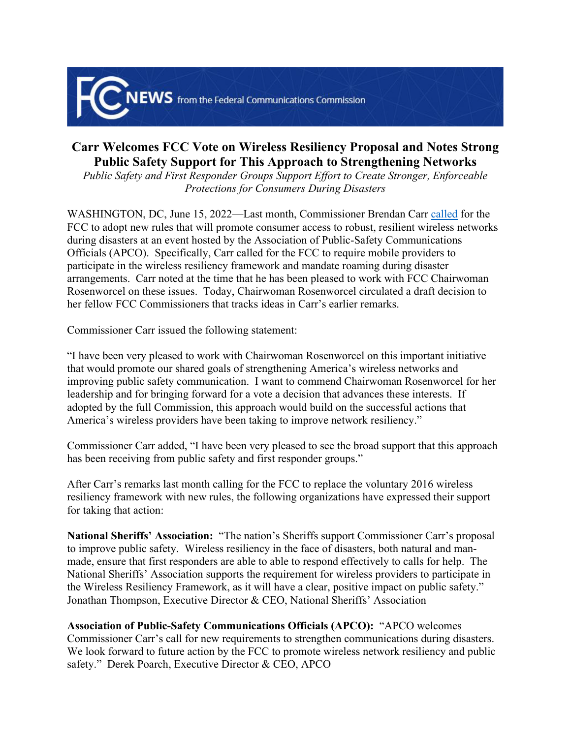

## **Carr Welcomes FCC Vote on Wireless Resiliency Proposal and Notes Strong Public Safety Support for This Approach to Strengthening Networks**

*Public Safety and First Responder Groups Support Effort to Create Stronger, Enforceable Protections for Consumers During Disasters* 

WASHINGTON, DC, June 15, 2022—Last month, Commissioner Brendan Carr [called](https://docs.fcc.gov/public/attachments/DOC-383360A1.pdf) for the FCC to adopt new rules that will promote consumer access to robust, resilient wireless networks during disasters at an event hosted by the Association of Public-Safety Communications Officials (APCO). Specifically, Carr called for the FCC to require mobile providers to participate in the wireless resiliency framework and mandate roaming during disaster arrangements. Carr noted at the time that he has been pleased to work with FCC Chairwoman Rosenworcel on these issues. Today, Chairwoman Rosenworcel circulated a draft decision to her fellow FCC Commissioners that tracks ideas in Carr's earlier remarks.

Commissioner Carr issued the following statement:

"I have been very pleased to work with Chairwoman Rosenworcel on this important initiative that would promote our shared goals of strengthening America's wireless networks and improving public safety communication. I want to commend Chairwoman Rosenworcel for her leadership and for bringing forward for a vote a decision that advances these interests. If adopted by the full Commission, this approach would build on the successful actions that America's wireless providers have been taking to improve network resiliency."

Commissioner Carr added, "I have been very pleased to see the broad support that this approach has been receiving from public safety and first responder groups."

After Carr's remarks last month calling for the FCC to replace the voluntary 2016 wireless resiliency framework with new rules, the following organizations have expressed their support for taking that action:

**National Sheriffs' Association:** "The nation's Sheriffs support Commissioner Carr's proposal to improve public safety. Wireless resiliency in the face of disasters, both natural and manmade, ensure that first responders are able to able to respond effectively to calls for help. The National Sheriffs' Association supports the requirement for wireless providers to participate in the Wireless Resiliency Framework, as it will have a clear, positive impact on public safety." Jonathan Thompson, Executive Director & CEO, National Sheriffs' Association

**Association of Public-Safety Communications Officials (APCO):** "APCO welcomes Commissioner Carr's call for new requirements to strengthen communications during disasters. We look forward to future action by the FCC to promote wireless network resiliency and public safety." Derek Poarch, Executive Director & CEO, APCO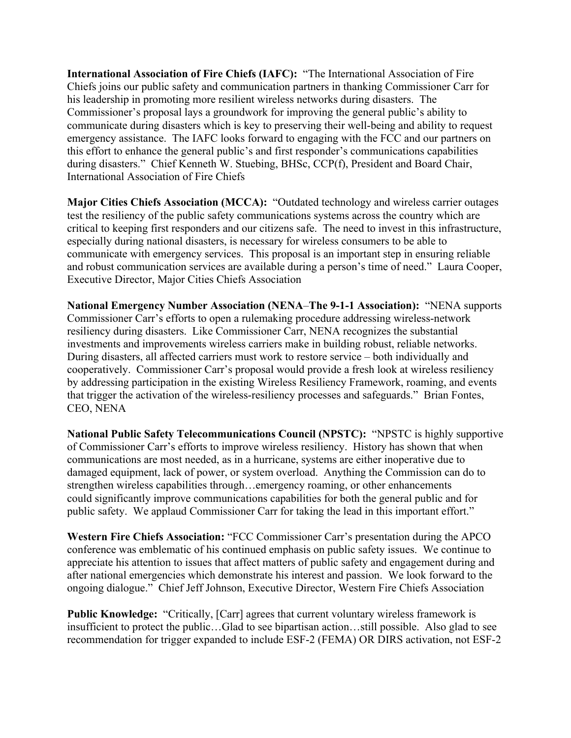**International Association of Fire Chiefs (IAFC):** "The International Association of Fire Chiefs joins our public safety and communication partners in thanking Commissioner Carr for his leadership in promoting more resilient wireless networks during disasters. The Commissioner's proposal lays a groundwork for improving the general public's ability to communicate during disasters which is key to preserving their well-being and ability to request emergency assistance. The IAFC looks forward to engaging with the FCC and our partners on this effort to enhance the general public's and first responder's communications capabilities during disasters." Chief Kenneth W. Stuebing, BHSc, CCP(f), President and Board Chair, International Association of Fire Chiefs

**Major Cities Chiefs Association (MCCA):** "Outdated technology and wireless carrier outages test the resiliency of the public safety communications systems across the country which are critical to keeping first responders and our citizens safe. The need to invest in this infrastructure, especially during national disasters, is necessary for wireless consumers to be able to communicate with emergency services. This proposal is an important step in ensuring reliable and robust communication services are available during a person's time of need." Laura Cooper, Executive Director, Major Cities Chiefs Association

**National Emergency Number Association (NENA**–**The 9-1-1 Association):** "NENA supports Commissioner Carr's efforts to open a rulemaking procedure addressing wireless-network resiliency during disasters. Like Commissioner Carr, NENA recognizes the substantial investments and improvements wireless carriers make in building robust, reliable networks. During disasters, all affected carriers must work to restore service – both individually and cooperatively. Commissioner Carr's proposal would provide a fresh look at wireless resiliency by addressing participation in the existing Wireless Resiliency Framework, roaming, and events that trigger the activation of the wireless-resiliency processes and safeguards." Brian Fontes, CEO, NENA

**National Public Safety Telecommunications Council (NPSTC):** "NPSTC is highly supportive of Commissioner Carr's efforts to improve wireless resiliency. History has shown that when communications are most needed, as in a hurricane, systems are either inoperative due to damaged equipment, lack of power, or system overload. Anything the Commission can do to strengthen wireless capabilities through…emergency roaming, or other enhancements could significantly improve communications capabilities for both the general public and for public safety. We applaud Commissioner Carr for taking the lead in this important effort."

**Western Fire Chiefs Association:** "FCC Commissioner Carr's presentation during the APCO conference was emblematic of his continued emphasis on public safety issues. We continue to appreciate his attention to issues that affect matters of public safety and engagement during and after national emergencies which demonstrate his interest and passion. We look forward to the ongoing dialogue." Chief Jeff Johnson, Executive Director, Western Fire Chiefs Association

**Public Knowledge:** "Critically, [Carr] agrees that current voluntary wireless framework is insufficient to protect the public…Glad to see bipartisan action…still possible. Also glad to see recommendation for trigger expanded to include ESF-2 (FEMA) OR DIRS activation, not ESF-2